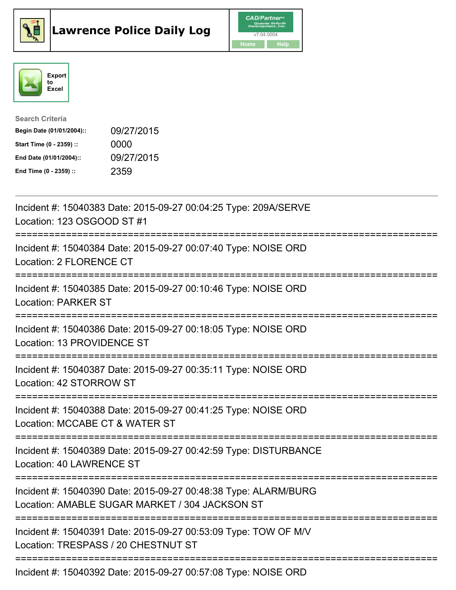





| <b>Search Criteria</b>    |            |
|---------------------------|------------|
| Begin Date (01/01/2004):: | 09/27/2015 |
| Start Time (0 - 2359) ::  | 0000       |
| End Date (01/01/2004)::   | 09/27/2015 |
| End Time (0 - 2359) ::    | 2359       |

| Incident #: 15040383 Date: 2015-09-27 00:04:25 Type: 209A/SERVE<br>Location: 123 OSGOOD ST #1<br>===========                                                                      |
|-----------------------------------------------------------------------------------------------------------------------------------------------------------------------------------|
| Incident #: 15040384 Date: 2015-09-27 00:07:40 Type: NOISE ORD<br>Location: 2 FLORENCE CT                                                                                         |
| Incident #: 15040385 Date: 2015-09-27 00:10:46 Type: NOISE ORD<br><b>Location: PARKER ST</b><br>.----------------------------                                                     |
| Incident #: 15040386 Date: 2015-09-27 00:18:05 Type: NOISE ORD<br>Location: 13 PROVIDENCE ST                                                                                      |
| Incident #: 15040387 Date: 2015-09-27 00:35:11 Type: NOISE ORD<br>Location: 42 STORROW ST                                                                                         |
| Incident #: 15040388 Date: 2015-09-27 00:41:25 Type: NOISE ORD<br>Location: MCCABE CT & WATER ST                                                                                  |
| Incident #: 15040389 Date: 2015-09-27 00:42:59 Type: DISTURBANCE<br><b>Location: 40 LAWRENCE ST</b>                                                                               |
| :===================<br>Incident #: 15040390 Date: 2015-09-27 00:48:38 Type: ALARM/BURG<br>Location: AMABLE SUGAR MARKET / 304 JACKSON ST<br>;=================================== |
| Incident #: 15040391 Date: 2015-09-27 00:53:09 Type: TOW OF M/V<br>Location: TRESPASS / 20 CHESTNUT ST                                                                            |
| Incident #: 15040392 Date: 2015-09-27 00:57:08 Type: NOISE ORD                                                                                                                    |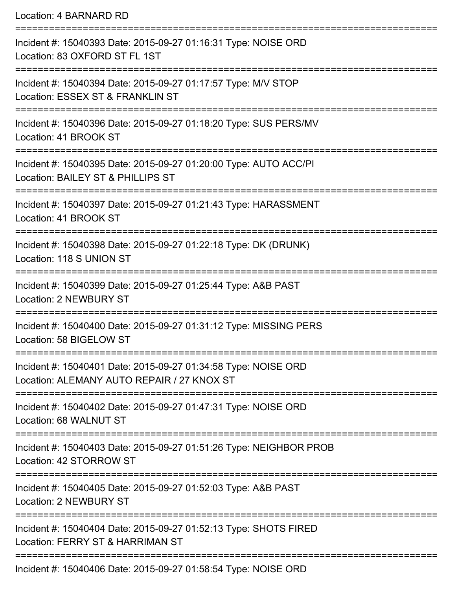Location: 4 BARNARD RD =========================================================================== Incident #: 15040393 Date: 2015-09-27 01:16:31 Type: NOISE ORD Location: 83 OXFORD ST FL 1ST =========================================================================== Incident #: 15040394 Date: 2015-09-27 01:17:57 Type: M/V STOP Location: ESSEX ST & FRANKLIN ST =========================================================================== Incident #: 15040396 Date: 2015-09-27 01:18:20 Type: SUS PERS/MV Location: 41 BROOK ST =========================================================================== Incident #: 15040395 Date: 2015-09-27 01:20:00 Type: AUTO ACC/PI Location: BAILEY ST & PHILLIPS ST =========================================================================== Incident #: 15040397 Date: 2015-09-27 01:21:43 Type: HARASSMENT Location: 41 BROOK ST =========================================================================== Incident #: 15040398 Date: 2015-09-27 01:22:18 Type: DK (DRUNK) Location: 118 S UNION ST =========================================================================== Incident #: 15040399 Date: 2015-09-27 01:25:44 Type: A&B PAST Location: 2 NEWBURY ST =========================================================================== Incident #: 15040400 Date: 2015-09-27 01:31:12 Type: MISSING PERS Location: 58 BIGELOW ST =========================================================================== Incident #: 15040401 Date: 2015-09-27 01:34:58 Type: NOISE ORD Location: ALEMANY AUTO REPAIR / 27 KNOX ST =========================================================================== Incident #: 15040402 Date: 2015-09-27 01:47:31 Type: NOISE ORD Location: 68 WALNUT ST =========================================================================== Incident #: 15040403 Date: 2015-09-27 01:51:26 Type: NEIGHBOR PROB Location: 42 STORROW ST =========================================================================== Incident #: 15040405 Date: 2015-09-27 01:52:03 Type: A&B PAST Location: 2 NEWBURY ST =========================================================================== Incident #: 15040404 Date: 2015-09-27 01:52:13 Type: SHOTS FIRED Location: FERRY ST & HARRIMAN ST ===========================================================================

Incident #: 15040406 Date: 2015-09-27 01:58:54 Type: NOISE ORD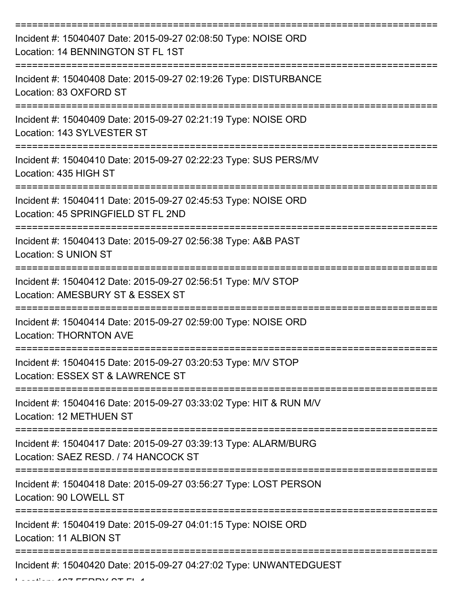| Incident #: 15040407 Date: 2015-09-27 02:08:50 Type: NOISE ORD<br>Location: 14 BENNINGTON ST FL 1ST     |
|---------------------------------------------------------------------------------------------------------|
| Incident #: 15040408 Date: 2015-09-27 02:19:26 Type: DISTURBANCE<br>Location: 83 OXFORD ST              |
| Incident #: 15040409 Date: 2015-09-27 02:21:19 Type: NOISE ORD<br>Location: 143 SYLVESTER ST            |
| Incident #: 15040410 Date: 2015-09-27 02:22:23 Type: SUS PERS/MV<br>Location: 435 HIGH ST               |
| Incident #: 15040411 Date: 2015-09-27 02:45:53 Type: NOISE ORD<br>Location: 45 SPRINGFIELD ST FL 2ND    |
| Incident #: 15040413 Date: 2015-09-27 02:56:38 Type: A&B PAST<br>Location: S UNION ST                   |
| Incident #: 15040412 Date: 2015-09-27 02:56:51 Type: M/V STOP<br>Location: AMESBURY ST & ESSEX ST       |
| Incident #: 15040414 Date: 2015-09-27 02:59:00 Type: NOISE ORD<br><b>Location: THORNTON AVE</b>         |
| Incident #: 15040415 Date: 2015-09-27 03:20:53 Type: M/V STOP<br>Location: ESSEX ST & LAWRENCE ST       |
| Incident #: 15040416 Date: 2015-09-27 03:33:02 Type: HIT & RUN M/V<br>Location: 12 METHUEN ST           |
| Incident #: 15040417 Date: 2015-09-27 03:39:13 Type: ALARM/BURG<br>Location: SAEZ RESD. / 74 HANCOCK ST |
| Incident #: 15040418 Date: 2015-09-27 03:56:27 Type: LOST PERSON<br>Location: 90 LOWELL ST              |
| Incident #: 15040419 Date: 2015-09-27 04:01:15 Type: NOISE ORD<br>Location: 11 ALBION ST                |
| Incident #: 15040420 Date: 2015-09-27 04:27:02 Type: UNWANTEDGUEST                                      |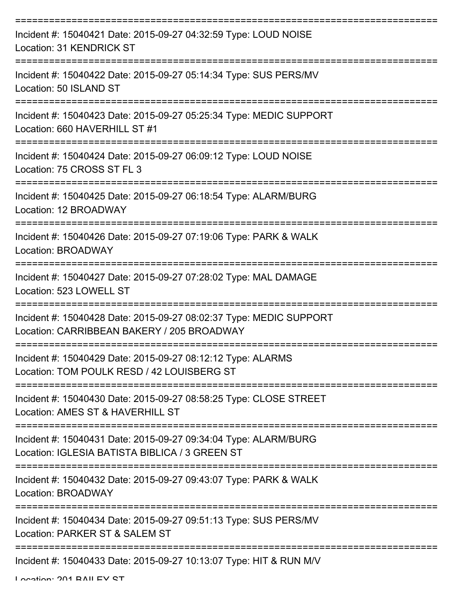| Incident #: 15040421 Date: 2015-09-27 04:32:59 Type: LOUD NOISE<br>Location: 31 KENDRICK ST                       |
|-------------------------------------------------------------------------------------------------------------------|
| Incident #: 15040422 Date: 2015-09-27 05:14:34 Type: SUS PERS/MV<br>Location: 50 ISLAND ST                        |
| Incident #: 15040423 Date: 2015-09-27 05:25:34 Type: MEDIC SUPPORT<br>Location: 660 HAVERHILL ST #1               |
| Incident #: 15040424 Date: 2015-09-27 06:09:12 Type: LOUD NOISE<br>Location: 75 CROSS ST FL 3                     |
| Incident #: 15040425 Date: 2015-09-27 06:18:54 Type: ALARM/BURG<br>Location: 12 BROADWAY                          |
| Incident #: 15040426 Date: 2015-09-27 07:19:06 Type: PARK & WALK<br>Location: BROADWAY                            |
| Incident #: 15040427 Date: 2015-09-27 07:28:02 Type: MAL DAMAGE<br>Location: 523 LOWELL ST                        |
| Incident #: 15040428 Date: 2015-09-27 08:02:37 Type: MEDIC SUPPORT<br>Location: CARRIBBEAN BAKERY / 205 BROADWAY  |
| Incident #: 15040429 Date: 2015-09-27 08:12:12 Type: ALARMS<br>Location: TOM POULK RESD / 42 LOUISBERG ST         |
| Incident #: 15040430 Date: 2015-09-27 08:58:25 Type: CLOSE STREET<br>Location: AMES ST & HAVERHILL ST             |
| Incident #: 15040431 Date: 2015-09-27 09:34:04 Type: ALARM/BURG<br>Location: IGLESIA BATISTA BIBLICA / 3 GREEN ST |
| Incident #: 15040432 Date: 2015-09-27 09:43:07 Type: PARK & WALK<br>Location: BROADWAY                            |
| Incident #: 15040434 Date: 2015-09-27 09:51:13 Type: SUS PERS/MV<br>Location: PARKER ST & SALEM ST                |
| Incident #: 15040433 Date: 2015-09-27 10:13:07 Type: HIT & RUN M/V                                                |

Location: 201 BAILEY ST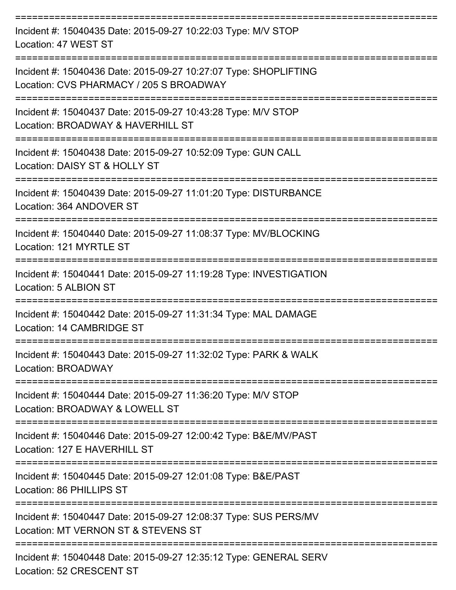| Incident #: 15040435 Date: 2015-09-27 10:22:03 Type: M/V STOP<br>Location: 47 WEST ST                       |
|-------------------------------------------------------------------------------------------------------------|
| Incident #: 15040436 Date: 2015-09-27 10:27:07 Type: SHOPLIFTING<br>Location: CVS PHARMACY / 205 S BROADWAY |
| Incident #: 15040437 Date: 2015-09-27 10:43:28 Type: M/V STOP<br>Location: BROADWAY & HAVERHILL ST          |
| Incident #: 15040438 Date: 2015-09-27 10:52:09 Type: GUN CALL<br>Location: DAISY ST & HOLLY ST              |
| Incident #: 15040439 Date: 2015-09-27 11:01:20 Type: DISTURBANCE<br>Location: 364 ANDOVER ST                |
| Incident #: 15040440 Date: 2015-09-27 11:08:37 Type: MV/BLOCKING<br>Location: 121 MYRTLE ST                 |
| Incident #: 15040441 Date: 2015-09-27 11:19:28 Type: INVESTIGATION<br>Location: 5 ALBION ST                 |
| Incident #: 15040442 Date: 2015-09-27 11:31:34 Type: MAL DAMAGE<br>Location: 14 CAMBRIDGE ST                |
| Incident #: 15040443 Date: 2015-09-27 11:32:02 Type: PARK & WALK<br>Location: BROADWAY                      |
| Incident #: 15040444 Date: 2015-09-27 11:36:20 Type: M/V STOP<br>Location: BROADWAY & LOWELL ST             |
| Incident #: 15040446 Date: 2015-09-27 12:00:42 Type: B&E/MV/PAST<br>Location: 127 E HAVERHILL ST            |
| Incident #: 15040445 Date: 2015-09-27 12:01:08 Type: B&E/PAST<br>Location: 86 PHILLIPS ST                   |
| Incident #: 15040447 Date: 2015-09-27 12:08:37 Type: SUS PERS/MV<br>Location: MT VERNON ST & STEVENS ST     |
| Incident #: 15040448 Date: 2015-09-27 12:35:12 Type: GENERAL SERV                                           |

Location: 52 CRESCENT ST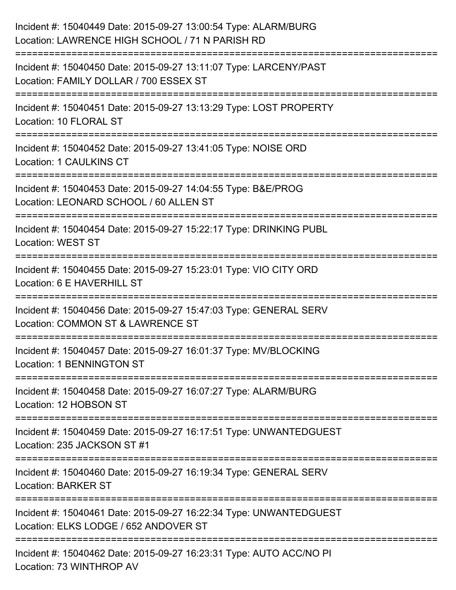| Incident #: 15040449 Date: 2015-09-27 13:00:54 Type: ALARM/BURG<br>Location: LAWRENCE HIGH SCHOOL / 71 N PARISH RD                                |
|---------------------------------------------------------------------------------------------------------------------------------------------------|
| ==================================<br>Incident #: 15040450 Date: 2015-09-27 13:11:07 Type: LARCENY/PAST<br>Location: FAMILY DOLLAR / 700 ESSEX ST |
| Incident #: 15040451 Date: 2015-09-27 13:13:29 Type: LOST PROPERTY<br>Location: 10 FLORAL ST                                                      |
| Incident #: 15040452 Date: 2015-09-27 13:41:05 Type: NOISE ORD<br>Location: 1 CAULKINS CT                                                         |
| Incident #: 15040453 Date: 2015-09-27 14:04:55 Type: B&E/PROG<br>Location: LEONARD SCHOOL / 60 ALLEN ST                                           |
| Incident #: 15040454 Date: 2015-09-27 15:22:17 Type: DRINKING PUBL<br><b>Location: WEST ST</b>                                                    |
| Incident #: 15040455 Date: 2015-09-27 15:23:01 Type: VIO CITY ORD<br>Location: 6 E HAVERHILL ST                                                   |
| Incident #: 15040456 Date: 2015-09-27 15:47:03 Type: GENERAL SERV<br>Location: COMMON ST & LAWRENCE ST                                            |
| Incident #: 15040457 Date: 2015-09-27 16:01:37 Type: MV/BLOCKING<br><b>Location: 1 BENNINGTON ST</b>                                              |
| Incident #: 15040458 Date: 2015-09-27 16:07:27 Type: ALARM/BURG<br>Location: 12 HOBSON ST                                                         |
| Incident #: 15040459 Date: 2015-09-27 16:17:51 Type: UNWANTEDGUEST<br>Location: 235 JACKSON ST #1                                                 |
| Incident #: 15040460 Date: 2015-09-27 16:19:34 Type: GENERAL SERV<br><b>Location: BARKER ST</b>                                                   |
| Incident #: 15040461 Date: 2015-09-27 16:22:34 Type: UNWANTEDGUEST<br>Location: ELKS LODGE / 652 ANDOVER ST                                       |
| Incident #: 15040462 Date: 2015-09-27 16:23:31 Type: AUTO ACC/NO PI<br>Location: 73 WINTHROP AV                                                   |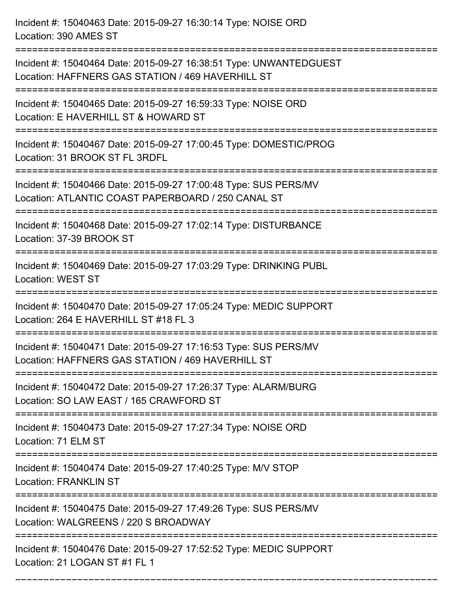Incident #: 15040463 Date: 2015-09-27 16:30:14 Type: NOISE ORD Location: 390 AMES ST

Incident #: 15040464 Date: 2015-09-27 16:38:51 Type: UNWANTEDGUEST Location: HAFFNERS GAS STATION / 469 HAVERHILL ST

===========================================================================

===========================================================================

Incident #: 15040465 Date: 2015-09-27 16:59:33 Type: NOISE ORD Location: E HAVERHILL ST & HOWARD ST

===========================================================================

Incident #: 15040467 Date: 2015-09-27 17:00:45 Type: DOMESTIC/PROG Location: 31 BROOK ST FL 3RDFL

===========================================================================

Incident #: 15040466 Date: 2015-09-27 17:00:48 Type: SUS PERS/MV Location: ATLANTIC COAST PAPERBOARD / 250 CANAL ST

===========================================================================

Incident #: 15040468 Date: 2015-09-27 17:02:14 Type: DISTURBANCE Location: 37-39 BROOK ST

===========================================================================

Incident #: 15040469 Date: 2015-09-27 17:03:29 Type: DRINKING PUBL

Location: WEST ST

===========================================================================

Incident #: 15040470 Date: 2015-09-27 17:05:24 Type: MEDIC SUPPORT Location: 264 E HAVERHILL ST #18 FL 3

===========================================================================

Incident #: 15040471 Date: 2015-09-27 17:16:53 Type: SUS PERS/MV Location: HAFFNERS GAS STATION / 469 HAVERHILL ST

===========================================================================

Incident #: 15040472 Date: 2015-09-27 17:26:37 Type: ALARM/BURG

Location: SO LAW EAST / 165 CRAWFORD ST

===========================================================================

Incident #: 15040473 Date: 2015-09-27 17:27:34 Type: NOISE ORD

Location: 71 ELM ST

===========================================================================

Incident #: 15040474 Date: 2015-09-27 17:40:25 Type: M/V STOP Location: FRANKLIN ST

===========================================================================

Incident #: 15040475 Date: 2015-09-27 17:49:26 Type: SUS PERS/MV

Location: WALGREENS / 220 S BROADWAY

===========================================================================

===========================================================================

Incident #: 15040476 Date: 2015-09-27 17:52:52 Type: MEDIC SUPPORT Location: 21 LOGAN ST #1 FL 1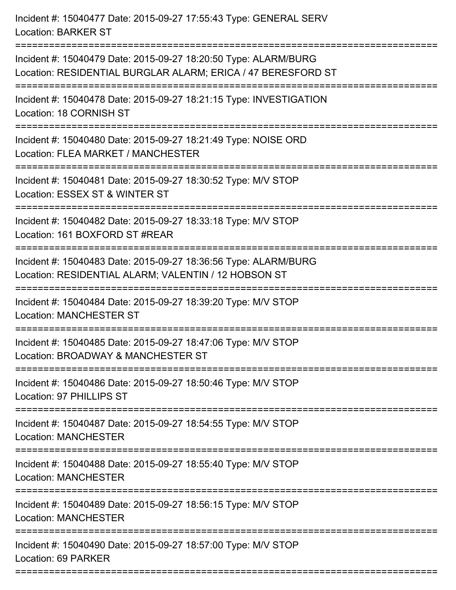| Incident #: 15040479 Date: 2015-09-27 18:20:50 Type: ALARM/BURG<br>Location: RESIDENTIAL BURGLAR ALARM; ERICA / 47 BERESFORD ST<br>Incident #: 15040478 Date: 2015-09-27 18:21:15 Type: INVESTIGATION<br>Location: 18 CORNISH ST<br>Incident #: 15040480 Date: 2015-09-27 18:21:49 Type: NOISE ORD<br>Location: FLEA MARKET / MANCHESTER<br>Incident #: 15040481 Date: 2015-09-27 18:30:52 Type: M/V STOP<br>Location: ESSEX ST & WINTER ST<br>Incident #: 15040482 Date: 2015-09-27 18:33:18 Type: M/V STOP<br>Location: 161 BOXFORD ST #REAR<br>Incident #: 15040483 Date: 2015-09-27 18:36:56 Type: ALARM/BURG |
|-------------------------------------------------------------------------------------------------------------------------------------------------------------------------------------------------------------------------------------------------------------------------------------------------------------------------------------------------------------------------------------------------------------------------------------------------------------------------------------------------------------------------------------------------------------------------------------------------------------------|
|                                                                                                                                                                                                                                                                                                                                                                                                                                                                                                                                                                                                                   |
|                                                                                                                                                                                                                                                                                                                                                                                                                                                                                                                                                                                                                   |
|                                                                                                                                                                                                                                                                                                                                                                                                                                                                                                                                                                                                                   |
|                                                                                                                                                                                                                                                                                                                                                                                                                                                                                                                                                                                                                   |
|                                                                                                                                                                                                                                                                                                                                                                                                                                                                                                                                                                                                                   |
| Location: RESIDENTIAL ALARM; VALENTIN / 12 HOBSON ST<br>--------------                                                                                                                                                                                                                                                                                                                                                                                                                                                                                                                                            |
| Incident #: 15040484 Date: 2015-09-27 18:39:20 Type: M/V STOP<br><b>Location: MANCHESTER ST</b>                                                                                                                                                                                                                                                                                                                                                                                                                                                                                                                   |
| Incident #: 15040485 Date: 2015-09-27 18:47:06 Type: M/V STOP<br>Location: BROADWAY & MANCHESTER ST                                                                                                                                                                                                                                                                                                                                                                                                                                                                                                               |
| Incident #: 15040486 Date: 2015-09-27 18:50:46 Type: M/V STOP<br>Location: 97 PHILLIPS ST                                                                                                                                                                                                                                                                                                                                                                                                                                                                                                                         |
| Incident #: 15040487 Date: 2015-09-27 18:54:55 Type: M/V STOP<br><b>Location: MANCHESTER</b>                                                                                                                                                                                                                                                                                                                                                                                                                                                                                                                      |
| Incident #: 15040488 Date: 2015-09-27 18:55:40 Type: M/V STOP<br><b>Location: MANCHESTER</b>                                                                                                                                                                                                                                                                                                                                                                                                                                                                                                                      |
| Incident #: 15040489 Date: 2015-09-27 18:56:15 Type: M/V STOP<br><b>Location: MANCHESTER</b>                                                                                                                                                                                                                                                                                                                                                                                                                                                                                                                      |
| Incident #: 15040490 Date: 2015-09-27 18:57:00 Type: M/V STOP<br>Location: 69 PARKER                                                                                                                                                                                                                                                                                                                                                                                                                                                                                                                              |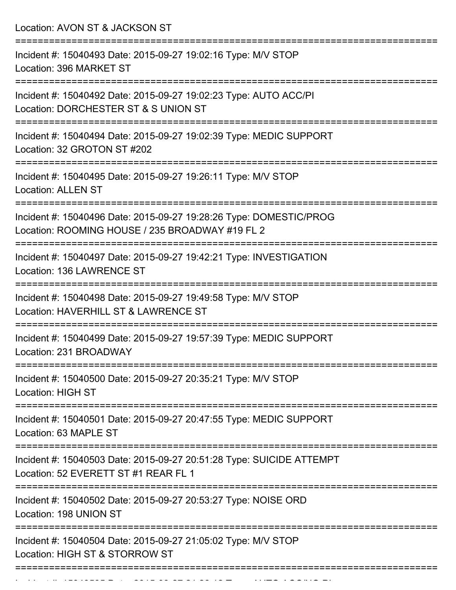Location: AVON ST & JACKSON ST =========================================================================== Incident #: 15040493 Date: 2015-09-27 19:02:16 Type: M/V STOP Location: 396 MARKET ST =========================================================================== Incident #: 15040492 Date: 2015-09-27 19:02:23 Type: AUTO ACC/PI Location: DORCHESTER ST & S UNION ST =========================================================================== Incident #: 15040494 Date: 2015-09-27 19:02:39 Type: MEDIC SUPPORT Location: 32 GROTON ST #202 =========================================================================== Incident #: 15040495 Date: 2015-09-27 19:26:11 Type: M/V STOP Location: ALLEN ST =========================================================================== Incident #: 15040496 Date: 2015-09-27 19:28:26 Type: DOMESTIC/PROG Location: ROOMING HOUSE / 235 BROADWAY #19 FL 2 =========================================================================== Incident #: 15040497 Date: 2015-09-27 19:42:21 Type: INVESTIGATION Location: 136 LAWRENCE ST =========================================================================== Incident #: 15040498 Date: 2015-09-27 19:49:58 Type: M/V STOP Location: HAVERHILL ST & LAWRENCE ST =========================================================================== Incident #: 15040499 Date: 2015-09-27 19:57:39 Type: MEDIC SUPPORT Location: 231 BROADWAY =========================================================================== Incident #: 15040500 Date: 2015-09-27 20:35:21 Type: M/V STOP Location: HIGH ST =========================================================================== Incident #: 15040501 Date: 2015-09-27 20:47:55 Type: MEDIC SUPPORT Location: 63 MAPLE ST =========================================================================== Incident #: 15040503 Date: 2015-09-27 20:51:28 Type: SUICIDE ATTEMPT Location: 52 EVERETT ST #1 REAR FL 1 =========================================================================== Incident #: 15040502 Date: 2015-09-27 20:53:27 Type: NOISE ORD Location: 198 UNION ST =========================================================================== Incident #: 15040504 Date: 2015-09-27 21:05:02 Type: M/V STOP Location: HIGH ST & STORROW ST ===========================================================================

Incident #: 15040505 Date: 2015 09 27 27 2015 09 27 27 28 29 2015 09 27 27 28 29 29 2016 09 27 28 29 29 2016 0<br>.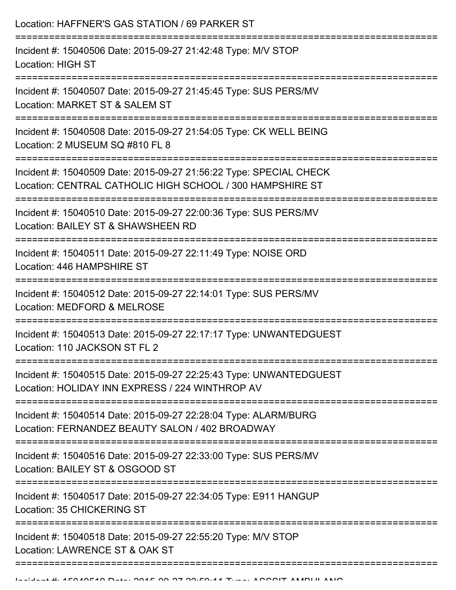| Location: HAFFNER'S GAS STATION / 69 PARKER ST                                                                                                          |
|---------------------------------------------------------------------------------------------------------------------------------------------------------|
| Incident #: 15040506 Date: 2015-09-27 21:42:48 Type: M/V STOP<br><b>Location: HIGH ST</b>                                                               |
| Incident #: 15040507 Date: 2015-09-27 21:45:45 Type: SUS PERS/MV<br>Location: MARKET ST & SALEM ST                                                      |
| Incident #: 15040508 Date: 2015-09-27 21:54:05 Type: CK WELL BEING<br>Location: 2 MUSEUM SQ #810 FL 8                                                   |
| Incident #: 15040509 Date: 2015-09-27 21:56:22 Type: SPECIAL CHECK<br>Location: CENTRAL CATHOLIC HIGH SCHOOL / 300 HAMPSHIRE ST<br>-------------------- |
| Incident #: 15040510 Date: 2015-09-27 22:00:36 Type: SUS PERS/MV<br>Location: BAILEY ST & SHAWSHEEN RD                                                  |
| Incident #: 15040511 Date: 2015-09-27 22:11:49 Type: NOISE ORD<br>Location: 446 HAMPSHIRE ST                                                            |
| Incident #: 15040512 Date: 2015-09-27 22:14:01 Type: SUS PERS/MV<br>Location: MEDFORD & MELROSE                                                         |
| Incident #: 15040513 Date: 2015-09-27 22:17:17 Type: UNWANTEDGUEST<br>Location: 110 JACKSON ST FL 2                                                     |
| Incident #: 15040515 Date: 2015-09-27 22:25:43 Type: UNWANTEDGUEST<br>Location: HOLIDAY INN EXPRESS / 224 WINTHROP AV                                   |
| Incident #: 15040514 Date: 2015-09-27 22:28:04 Type: ALARM/BURG<br>Location: FERNANDEZ BEAUTY SALON / 402 BROADWAY                                      |
| Incident #: 15040516 Date: 2015-09-27 22:33:00 Type: SUS PERS/MV<br>Location: BAILEY ST & OSGOOD ST                                                     |
| Incident #: 15040517 Date: 2015-09-27 22:34:05 Type: E911 HANGUP<br>Location: 35 CHICKERING ST                                                          |
| Incident #: 15040518 Date: 2015-09-27 22:55:20 Type: M/V STOP<br>Location: LAWRENCE ST & OAK ST                                                         |
|                                                                                                                                                         |